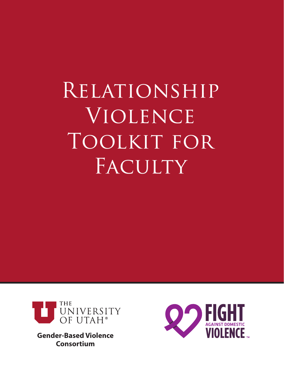# Relationship **VIOLENCE** TOOLKIT FOR FACULTY



**Gender-Based Violence Consortium**

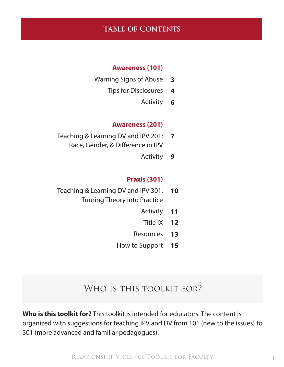## TABLE OF CONTENTS

#### **Awareness (101)**

- Warning Signs of Abuse **3**
	- Tips for Disclosures **4**
		- Activity **6**

#### **Awareness (201)**

- Teaching & Learning DV and IPV 201: Race, Gender, & Difference in IPV **7**
	- Activity **9**

#### **Praxis (301)**

- Teaching & Learning DV and IPV 301: Turning Theory into Practice **10**
	- Activity **11**
	- Title IX **12**
	- Resources **13**
	- How to Support **15**

## WHO IS THIS TOOLKIT FOR?

**Who is this toolkit for?** This toolkit is intended for educators. The content is organized with suggestions for teaching IPV and DV from 101 (new to the issues) to 301 (more advanced and familiar pedagogues).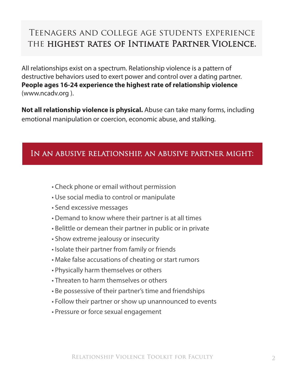# Teenagers and college age students experience the highest rates of Intimate Partner Violence.

All relationships exist on a spectrum. Relationship violence is a pattern of destructive behaviors used to exert power and control over a dating partner. **People ages 16-24 experience the highest rate of relationship violence** (www.ncadv.org ).

**Not all relationship violence is physical.** Abuse can take many forms, including emotional manipulation or coercion, economic abuse, and stalking.

## In an abusive relationship, an abusive partner might:

- Check phone or email without permission
- Use social media to control or manipulate
- Send excessive messages
- Demand to know where their partner is at all times
- Belittle or demean their partner in public or in private
- Show extreme jealousy or insecurity
- Isolate their partner from family or friends
- Make false accusations of cheating or start rumors
- Physically harm themselves or others
- Threaten to harm themselves or others
- Be possessive of their partner's time and friendships
- Follow their partner or show up unannounced to events
- Pressure or force sexual engagement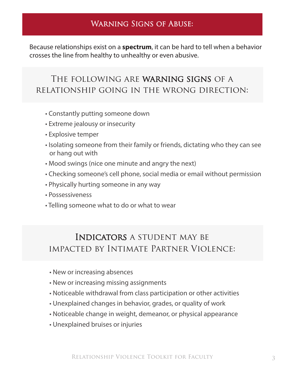## Warning Signs of Abuse:

Because relationships exist on a **spectrum**, it can be hard to tell when a behavior crosses the line from healthy to unhealthy or even abusive.

# The following are warning signs of a relationship going in the wrong direction:

- Constantly putting someone down
- Extreme jealousy or insecurity
- Explosive temper
- Isolating someone from their family or friends, dictating who they can see or hang out with
- Mood swings (nice one minute and angry the next)
- Checking someone's cell phone, social media or email without permission
- Physically hurting someone in any way
- Possessiveness
- Telling someone what to do or what to wear

# Indicators a student may be impacted by Intimate Partner Violence:

- New or increasing absences
- New or increasing missing assignments
- Noticeable withdrawal from class participation or other activities
- Unexplained changes in behavior, grades, or quality of work
- Noticeable change in weight, demeanor, or physical appearance
- Unexplained bruises or injuries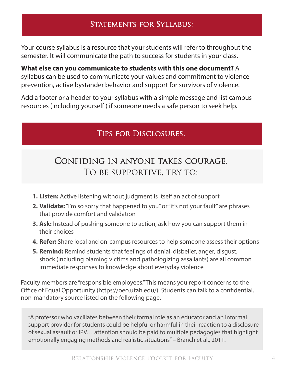## STATEMENTS FOR SYLLABUS:

Your course syllabus is a resource that your students will refer to throughout the semester. It will communicate the path to success for students in your class.

**What else can you communicate to students with this one document?** A syllabus can be used to communicate your values and commitment to violence prevention, active bystander behavior and support for survivors of violence.

Add a footer or a header to your syllabus with a simple message and list campus resources (including yourself ) if someone needs a safe person to seek help.

## Tips for Disclosures:

# Confiding in anyone takes courage. To be supportive, try to:

- **1. Listen:** Active listening without judgment is itself an act of support
- **2. Validate:** "I'm so sorry that happened to you" or "it's not your fault" are phrases that provide comfort and validation
- **3. Ask:** Instead of pushing someone to action, ask how you can support them in their choices
- **4. Refer:** Share local and on-campus resources to help someone assess their options
- **5. Remind:** Remind students that feelings of denial, disbelief, anger, disgust, shock (including blaming victims and pathologizing assailants) are all common immediate responses to knowledge about everyday violence

Faculty members are "responsible employees." This means you report concerns to the Office of Equal Opportunity (https://oeo.utah.edu/). Students can talk to a confidential, non-mandatory source listed on the following page.

"A professor who vacillates between their formal role as an educator and an informal support provider for students could be helpful or harmful in their reaction to a disclosure of sexual assault or IPV… attention should be paid to multiple pedagogies that highlight emotionally engaging methods and realistic situations" – Branch et al., 2011.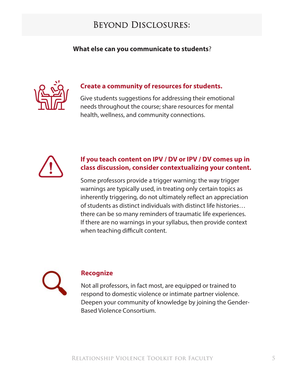# Beyond Disclosures:

## **What else can you communicate to students**?



## **Create a community of resources for students.**

Give students suggestions for addressing their emotional needs throughout the course; share resources for mental health, wellness, and community connections.



## **If you teach content on IPV / DV or IPV / DV comes up in class discussion, consider contextualizing your content.**

Some professors provide a trigger warning: the way trigger warnings are typically used, in treating only certain topics as inherently triggering, do not ultimately reflect an appreciation of students as distinct individuals with distinct life histories… there can be so many reminders of traumatic life experiences. If there are no warnings in your syllabus, then provide context when teaching difficult content.



### **Recognize**

Not all professors, in fact most, are equipped or trained to respond to domestic violence or intimate partner violence. Deepen your community of knowledge by joining the Gender-Based Violence Consortium.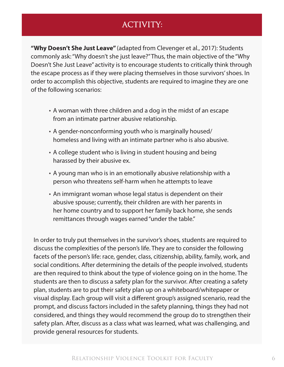# ACTIVITY:

**"Why Doesn't She Just Leave"** (adapted from Clevenger et al., 2017): Students commonly ask: "Why doesn't she just leave?" Thus, the main objective of the "Why Doesn't She Just Leave" activity is to encourage students to critically think through the escape process as if they were placing themselves in those survivors' shoes. In order to accomplish this objective, students are required to imagine they are one of the following scenarios:

- A woman with three children and a dog in the midst of an escape from an intimate partner abusive relationship.
- A gender-nonconforming youth who is marginally housed/ homeless and living with an intimate partner who is also abusive.
- A college student who is living in student housing and being harassed by their abusive ex.
- A young man who is in an emotionally abusive relationship with a person who threatens self-harm when he attempts to leave
- An immigrant woman whose legal status is dependent on their abusive spouse; currently, their children are with her parents in her home country and to support her family back home, she sends remittances through wages earned "under the table."

In order to truly put themselves in the survivor's shoes, students are required to discuss the complexities of the person's life. They are to consider the following facets of the person's life: race, gender, class, citizenship, ability, family, work, and social conditions. After determining the details of the people involved, students are then required to think about the type of violence going on in the home. The students are then to discuss a safety plan for the survivor. After creating a safety plan, students are to put their safety plan up on a whiteboard/whitepaper or visual display. Each group will visit a different group's assigned scenario, read the prompt, and discuss factors included in the safety planning, things they had not considered, and things they would recommend the group do to strengthen their safety plan. After, discuss as a class what was learned, what was challenging, and provide general resources for students.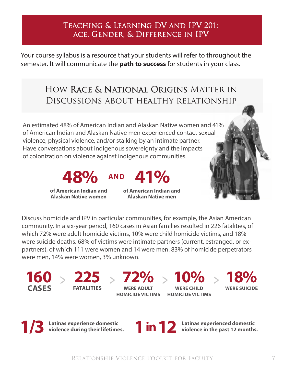## Teaching & Learning DV and IPV 201: ace, Gender, & Difference in IPV

Your course syllabus is a resource that your students will refer to throughout the semester. It will communicate the **path to success** for students in your class.

# How Race & National Origins Matter in Discussions about healthy relationship

An estimated 48% of American Indian and Alaskan Native women and 41% of American Indian and Alaskan Native men experienced contact sexual violence, physical violence, and/or stalking by an intimate partner. Have conversations about indigenous sovereignty and the impacts of colonization on violence against indigenous communities.



**of American Indian and Alaskan Native women**

**of American Indian and Alaskan Native men**

Discuss homicide and IPV in particular communities, for example, the Asian American community. In a six-year period, 160 cases in Asian families resulted in 226 fatalities, of which 72% were adult homicide victims, 10% were child homicide victims, and 18% were suicide deaths. 68% of victims were intimate partners (current, estranged, or expartners), of which 111 were women and 14 were men. 83% of homicide perpetrators were men, 14% were women, 3% unknown.

**160 CASES**

**FATALITIES**

**WERE ADULT HOMICIDE VICTIMS HOMICIDE VICTIMS**

 $> 225 > 72\% > 10\% >$ **WERE CHILD** 



**Latinas experience domestic 12** Latinas experience aomestic<br>**12** violence during their lifetimes.



**1 in 12** Latinas experienced domestic violence in the past 12 months.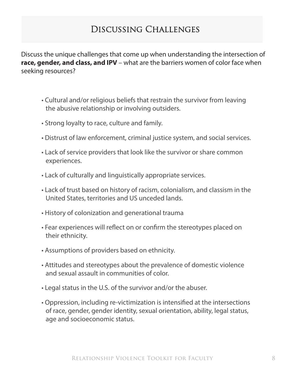# Discussing Challenges

Discuss the unique challenges that come up when understanding the intersection of **race, gender, and class, and IPV** – what are the barriers women of color face when seeking resources?

- Cultural and/or religious beliefs that restrain the survivor from leaving the abusive relationship or involving outsiders.
- Strong loyalty to race, culture and family.
- Distrust of law enforcement, criminal justice system, and social services.
- Lack of service providers that look like the survivor or share common experiences.
- Lack of culturally and linguistically appropriate services.
- Lack of trust based on history of racism, colonialism, and classism in the United States, territories and US unceded lands.
- History of colonization and generational trauma
- Fear experiences will reflect on or confirm the stereotypes placed on their ethnicity.
- Assumptions of providers based on ethnicity.
- Attitudes and stereotypes about the prevalence of domestic violence and sexual assault in communities of color.
- Legal status in the U.S. of the survivor and/or the abuser.
- Oppression, including re-victimization is intensified at the intersections of race, gender, gender identity, sexual orientation, ability, legal status, age and socioeconomic status.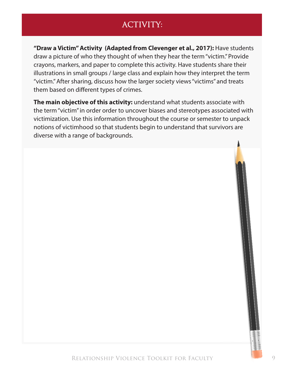# ACTIVITY:

**"Draw a Victim" Activity (Adapted from Clevenger et al., 2017):** Have students draw a picture of who they thought of when they hear the term "victim." Provide crayons, markers, and paper to complete this activity. Have students share their illustrations in small groups / large class and explain how they interpret the term "victim." After sharing, discuss how the larger society views "victims" and treats them based on different types of crimes.

**The main objective of this activity:** understand what students associate with the term "victim" in order order to uncover biases and stereotypes associated with victimization. Use this information throughout the course or semester to unpack notions of victimhood so that students begin to understand that survivors are diverse with a range of backgrounds.

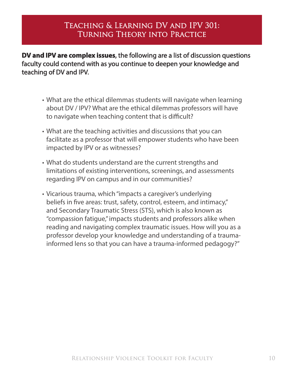## Teaching & Learning DV and IPV 301: Turning Theory into Practice

**DV and IPV are complex issues**, the following are a list of discussion questions faculty could contend with as you continue to deepen your knowledge and teaching of DV and IPV.

- What are the ethical dilemmas students will navigate when learning about DV / IPV? What are the ethical dilemmas professors will have to navigate when teaching content that is difficult?
- What are the teaching activities and discussions that you can facilitate as a professor that will empower students who have been impacted by IPV or as witnesses?
- What do students understand are the current strengths and limitations of existing interventions, screenings, and assessments regarding IPV on campus and in our communities?
- Vicarious trauma, which "impacts a caregiver's underlying beliefs in five areas: trust, safety, control, esteem, and intimacy," and Secondary Traumatic Stress (STS), which is also known as "compassion fatigue," impacts students and professors alike when reading and navigating complex traumatic issues. How will you as a professor develop your knowledge and understanding of a traumainformed lens so that you can have a trauma-informed pedagogy?"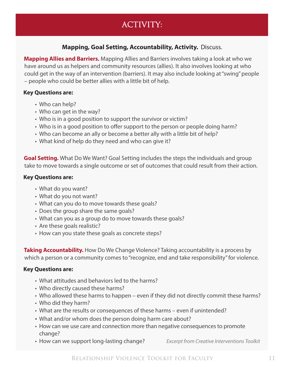# ACTIVITY:

### **Mapping, Goal Setting, Accountability, Activity.** Discuss.

**Mapping Allies and Barriers.** Mapping Allies and Barriers involves taking a look at who we have around us as helpers and community resources (allies). It also involves looking at who could get in the way of an intervention (barriers). It may also include looking at "swing" people – people who could be better allies with a little bit of help.

#### **Key Questions are:**

- Who can help?
- Who can get in the way?
- Who is in a good position to support the survivor or victim?
- Who is in a good position to offer support to the person or people doing harm?
- Who can become an ally or become a better ally with a little bit of help?
- What kind of help do they need and who can give it?

**Goal Setting.** What Do We Want? Goal Setting includes the steps the individuals and group take to move towards a single outcome or set of outcomes that could result from their action.

#### **Key Questions are:**

- What do you want?
- What do you not want?
- What can you do to move towards these goals?
- Does the group share the same goals?
- What can you as a group do to move towards these goals?
- Are these goals realistic?
- How can you state these goals as concrete steps?

**Taking Accountability.** How Do We Change Violence? Taking accountability is a process by which a person or a community comes to "recognize, end and take responsibility" for violence.

#### **Key Questions are:**

- What attitudes and behaviors led to the harms?
- Who directly caused these harms?
- Who allowed these harms to happen even if they did not directly commit these harms?
- Who did they harm?
- What are the results or consequences of these harms even if unintended?
- What and/or whom does the person doing harm care about?
- How can we use care and connection more than negative consequences to promote change?
- How can we support long-lasting change? *Excerpt from Creative Interventions Toolkit*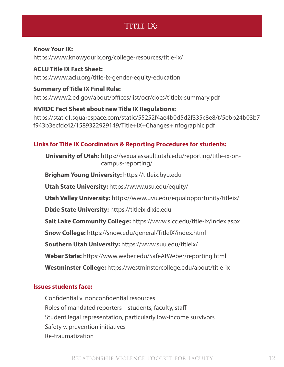## TITLE IX:

#### **Know Your IX:**

https://www.knowyourix.org/college-resources/title-ix/

**ACLU Title IX Fact Sheet:** https://www.aclu.org/title-ix-gender-equity-education

**Summary of Title IX Final Rule:** https://www2.ed.gov/about/offices/list/ocr/docs/titleix-summary.pdf

**NVRDC Fact Sheet about new Title IX Regulations:** https://static1.squarespace.com/static/55252f4ae4b0d5d2f335c8e8/t/5ebb24b03b7 f943b3ecfdc42/1589322929149/Title+IX+Changes+Infographic.pdf

## **Links for Title IX Coordinators & Reporting Procedures for students:**

**University of Utah:** https://sexualassault.utah.edu/reporting/title-ix-oncampus-reporting/

**Brigham Young University:** https://titleix.byu.edu

**Utah State University:** https://www.usu.edu/equity/

**Utah Valley University:** https://www.uvu.edu/equalopportunity/titleix/

**Dixie State University:** https://titleix.dixie.edu

**Salt Lake Community College:** https://www.slcc.edu/title-ix/index.aspx

**Snow College:** https://snow.edu/general/TitleIX/index.html

**Southern Utah University:** https://www.suu.edu/titleix/

**Weber State:** https://www.weber.edu/SafeAtWeber/reporting.html

**Westminster College:** https://westminstercollege.edu/about/title-ix

### **Issues students face:**

Confidential v. nonconfidential resources Roles of mandated reporters – students, faculty, staff Student legal representation, particularly low-income survivors Safety v. prevention initiatives Re-traumatization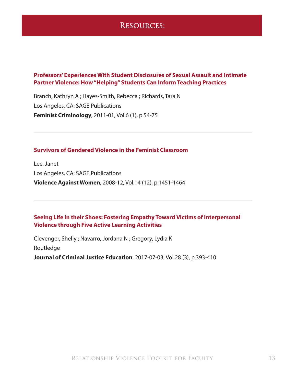## Resources:

#### **Professors' Experiences With Student Disclosures of Sexual Assault and Intimate Partner Violence: How "Helping" Students Can Inform Teaching Practices**

Branch, Kathryn A ; Hayes-Smith, Rebecca ; Richards, Tara N Los Angeles, CA: SAGE Publications **Feminist Criminology**, 2011-01, Vol.6 (1), p.54-75

#### **Survivors of Gendered Violence in the Feminist Classroom**

Lee, Janet Los Angeles, CA: SAGE Publications **Violence Against Women**, 2008-12, Vol.14 (12), p.1451-1464

#### **Seeing Life in their Shoes: Fostering Empathy Toward Victims of Interpersonal Violence through Five Active Learning Activities**

Clevenger, Shelly ; Navarro, Jordana N ; Gregory, Lydia K

Routledge

**Journal of Criminal Justice Education**, 2017-07-03, Vol.28 (3), p.393-410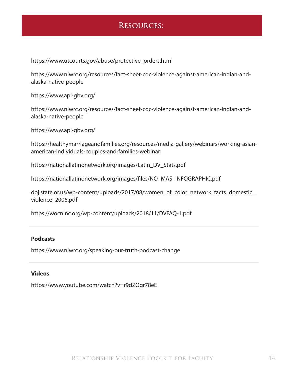## Resources:

https://www.utcourts.gov/abuse/protective\_orders.html

https://www.niwrc.org/resources/fact-sheet-cdc-violence-against-american-indian-andalaska-native-people

https://www.api-gbv.org/

https://www.niwrc.org/resources/fact-sheet-cdc-violence-against-american-indian-andalaska-native-people

https://www.api-gbv.org/

https://healthymarriageandfamilies.org/resources/media-gallery/webinars/working-asianamerican-individuals-couples-and-families-webinar

https://nationallatinonetwork.org/images/Latin\_DV\_Stats.pdf

https://nationallatinonetwork.org/images/files/NO\_MAS\_INFOGRAPHIC.pdf

doj.state.or.us/wp-content/uploads/2017/08/women\_of\_color\_network\_facts\_domestic\_ violence\_2006.pdf

https://wocninc.org/wp-content/uploads/2018/11/DVFAQ-1.pdf

#### **Podcasts**

https://www.niwrc.org/speaking-our-truth-podcast-change

#### **Videos**

https://www.youtube.com/watch?v=r9dZOgr78eE